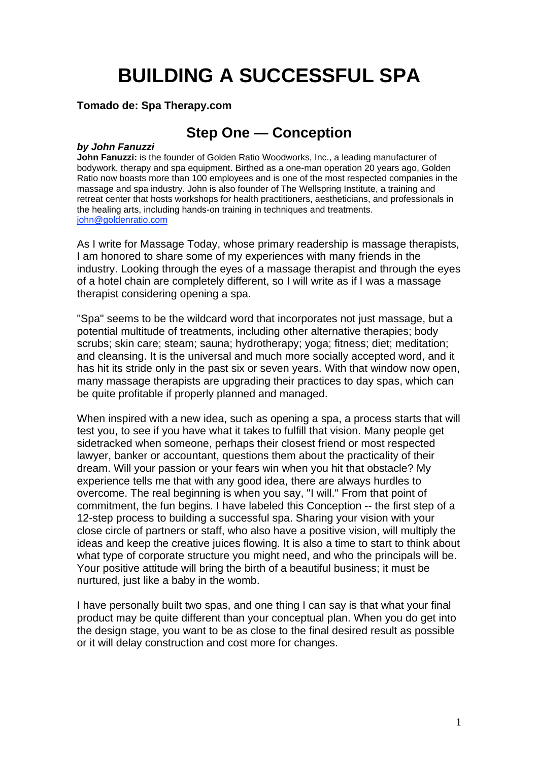# **BUILDING A SUCCESSFUL SPA**

#### **Tomado de: Spa Therapy.com**

#### **Step One — Conception**

#### *by John Fanuzzi*

**John Fanuzzi:** is the founder of Golden Ratio Woodworks, Inc., a leading manufacturer of bodywork, therapy and spa equipment. Birthed as a one-man operation 20 years ago, Golden Ratio now boasts more than 100 employees and is one of the most respected companies in the massage and spa industry. John is also founder of The Wellspring Institute, a training and retreat center that hosts workshops for health practitioners, aestheticians, and professionals in the healing arts, including hands-on training in techniques and treatments. [john@goldenratio.com](mailto:john@goldenratio.com)

As I write for Massage Today, whose primary readership is massage therapists, I am honored to share some of my experiences with many friends in the industry. Looking through the eyes of a massage therapist and through the eyes of a hotel chain are completely different, so I will write as if I was a massage therapist considering opening a spa.

"Spa" seems to be the wildcard word that incorporates not just massage, but a potential multitude of treatments, including other alternative therapies; body scrubs; skin care; steam; sauna; hydrotherapy; yoga; fitness; diet; meditation; and cleansing. It is the universal and much more socially accepted word, and it has hit its stride only in the past six or seven years. With that window now open, many massage therapists are upgrading their practices to day spas, which can be quite profitable if properly planned and managed.

When inspired with a new idea, such as opening a spa, a process starts that will test you, to see if you have what it takes to fulfill that vision. Many people get sidetracked when someone, perhaps their closest friend or most respected lawyer, banker or accountant, questions them about the practicality of their dream. Will your passion or your fears win when you hit that obstacle? My experience tells me that with any good idea, there are always hurdles to overcome. The real beginning is when you say, "I will." From that point of commitment, the fun begins. I have labeled this Conception -- the first step of a 12-step process to building a successful spa. Sharing your vision with your close circle of partners or staff, who also have a positive vision, will multiply the ideas and keep the creative juices flowing. It is also a time to start to think about what type of corporate structure you might need, and who the principals will be. Your positive attitude will bring the birth of a beautiful business; it must be nurtured, just like a baby in the womb.

I have personally built two spas, and one thing I can say is that what your final product may be quite different than your conceptual plan. When you do get into the design stage, you want to be as close to the final desired result as possible or it will delay construction and cost more for changes.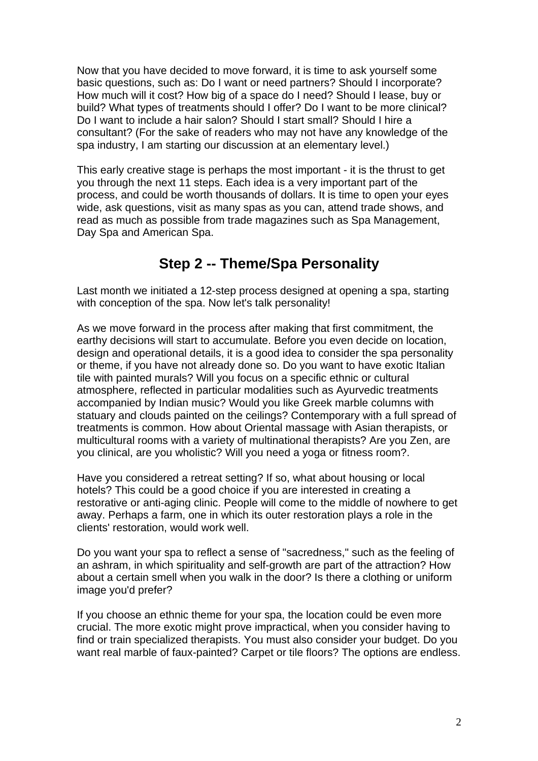Now that you have decided to move forward, it is time to ask yourself some basic questions, such as: Do I want or need partners? Should I incorporate? How much will it cost? How big of a space do I need? Should I lease, buy or build? What types of treatments should I offer? Do I want to be more clinical? Do I want to include a hair salon? Should I start small? Should I hire a consultant? (For the sake of readers who may not have any knowledge of the spa industry, I am starting our discussion at an elementary level.)

This early creative stage is perhaps the most important - it is the thrust to get you through the next 11 steps. Each idea is a very important part of the process, and could be worth thousands of dollars. It is time to open your eyes wide, ask questions, visit as many spas as you can, attend trade shows, and read as much as possible from trade magazines such as Spa Management, Day Spa and American Spa.

## **Step 2 -- Theme/Spa Personality**

Last month we initiated a 12-step process designed at opening a spa, starting with conception of the spa. Now let's talk personality!

As we move forward in the process after making that first commitment, the earthy decisions will start to accumulate. Before you even decide on location, design and operational details, it is a good idea to consider the spa personality or theme, if you have not already done so. Do you want to have exotic Italian tile with painted murals? Will you focus on a specific ethnic or cultural atmosphere, reflected in particular modalities such as Ayurvedic treatments accompanied by Indian music? Would you like Greek marble columns with statuary and clouds painted on the ceilings? Contemporary with a full spread of treatments is common. How about Oriental massage with Asian therapists, or multicultural rooms with a variety of multinational therapists? Are you Zen, are you clinical, are you wholistic? Will you need a yoga or fitness room?.

Have you considered a retreat setting? If so, what about housing or local hotels? This could be a good choice if you are interested in creating a restorative or anti-aging clinic. People will come to the middle of nowhere to get away. Perhaps a farm, one in which its outer restoration plays a role in the clients' restoration, would work well.

Do you want your spa to reflect a sense of "sacredness," such as the feeling of an ashram, in which spirituality and self-growth are part of the attraction? How about a certain smell when you walk in the door? Is there a clothing or uniform image you'd prefer?

If you choose an ethnic theme for your spa, the location could be even more crucial. The more exotic might prove impractical, when you consider having to find or train specialized therapists. You must also consider your budget. Do you want real marble of faux-painted? Carpet or tile floors? The options are endless.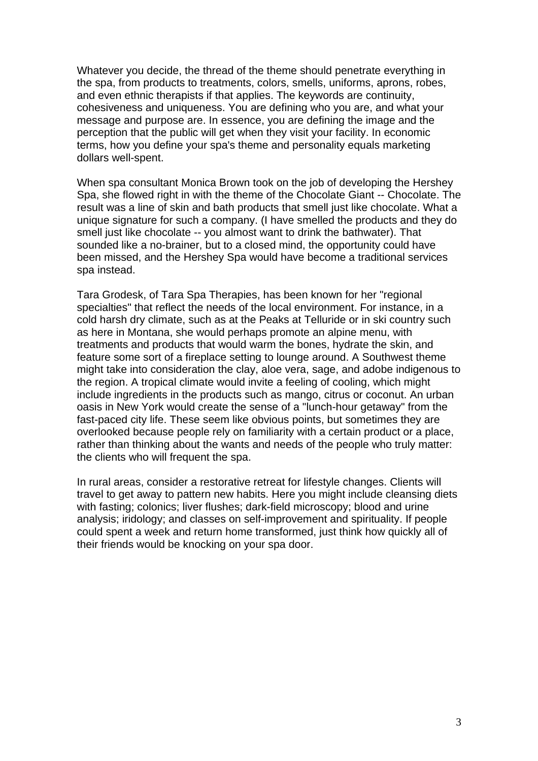Whatever you decide, the thread of the theme should penetrate everything in the spa, from products to treatments, colors, smells, uniforms, aprons, robes, and even ethnic therapists if that applies. The keywords are continuity, cohesiveness and uniqueness. You are defining who you are, and what your message and purpose are. In essence, you are defining the image and the perception that the public will get when they visit your facility. In economic terms, how you define your spa's theme and personality equals marketing dollars well-spent.

When spa consultant Monica Brown took on the job of developing the Hershey Spa, she flowed right in with the theme of the Chocolate Giant -- Chocolate. The result was a line of skin and bath products that smell just like chocolate. What a unique signature for such a company. (I have smelled the products and they do smell just like chocolate -- you almost want to drink the bathwater). That sounded like a no-brainer, but to a closed mind, the opportunity could have been missed, and the Hershey Spa would have become a traditional services spa instead.

Tara Grodesk, of Tara Spa Therapies, has been known for her "regional specialties" that reflect the needs of the local environment. For instance, in a cold harsh dry climate, such as at the Peaks at Telluride or in ski country such as here in Montana, she would perhaps promote an alpine menu, with treatments and products that would warm the bones, hydrate the skin, and feature some sort of a fireplace setting to lounge around. A Southwest theme might take into consideration the clay, aloe vera, sage, and adobe indigenous to the region. A tropical climate would invite a feeling of cooling, which might include ingredients in the products such as mango, citrus or coconut. An urban oasis in New York would create the sense of a "lunch-hour getaway" from the fast-paced city life. These seem like obvious points, but sometimes they are overlooked because people rely on familiarity with a certain product or a place, rather than thinking about the wants and needs of the people who truly matter: the clients who will frequent the spa.

In rural areas, consider a restorative retreat for lifestyle changes. Clients will travel to get away to pattern new habits. Here you might include cleansing diets with fasting; colonics; liver flushes; dark-field microscopy; blood and urine analysis; iridology; and classes on self-improvement and spirituality. If people could spent a week and return home transformed, just think how quickly all of their friends would be knocking on your spa door.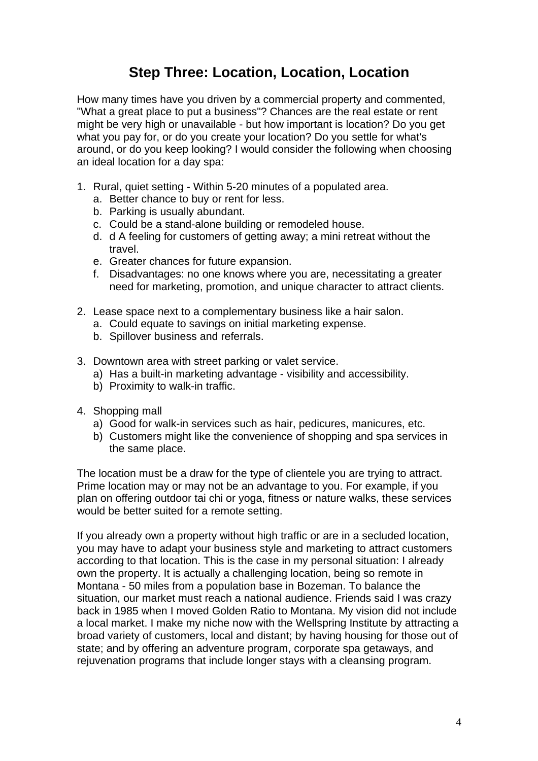## **Step Three: Location, Location, Location**

How many times have you driven by a commercial property and commented, "What a great place to put a business"? Chances are the real estate or rent might be very high or unavailable - but how important is location? Do you get what you pay for, or do you create your location? Do you settle for what's around, or do you keep looking? I would consider the following when choosing an ideal location for a day spa:

- 1. Rural, quiet setting Within 5-20 minutes of a populated area.
	- a. Better chance to buy or rent for less.
	- b. Parking is usually abundant.
	- c. Could be a stand-alone building or remodeled house.
	- d. d A feeling for customers of getting away; a mini retreat without the travel.
	- e. Greater chances for future expansion.
	- f. Disadvantages: no one knows where you are, necessitating a greater need for marketing, promotion, and unique character to attract clients.
- 2. Lease space next to a complementary business like a hair salon.
	- a. Could equate to savings on initial marketing expense.
	- b. Spillover business and referrals.
- 3. Downtown area with street parking or valet service.
	- a) Has a built-in marketing advantage visibility and accessibility.
	- b) Proximity to walk-in traffic.
- 4. Shopping mall
	- a) Good for walk-in services such as hair, pedicures, manicures, etc.
	- b) Customers might like the convenience of shopping and spa services in the same place.

The location must be a draw for the type of clientele you are trying to attract. Prime location may or may not be an advantage to you. For example, if you plan on offering outdoor tai chi or yoga, fitness or nature walks, these services would be better suited for a remote setting.

If you already own a property without high traffic or are in a secluded location, you may have to adapt your business style and marketing to attract customers according to that location. This is the case in my personal situation: I already own the property. It is actually a challenging location, being so remote in Montana - 50 miles from a population base in Bozeman. To balance the situation, our market must reach a national audience. Friends said I was crazy back in 1985 when I moved Golden Ratio to Montana. My vision did not include a local market. I make my niche now with the Wellspring Institute by attracting a broad variety of customers, local and distant; by having housing for those out of state; and by offering an adventure program, corporate spa getaways, and rejuvenation programs that include longer stays with a cleansing program.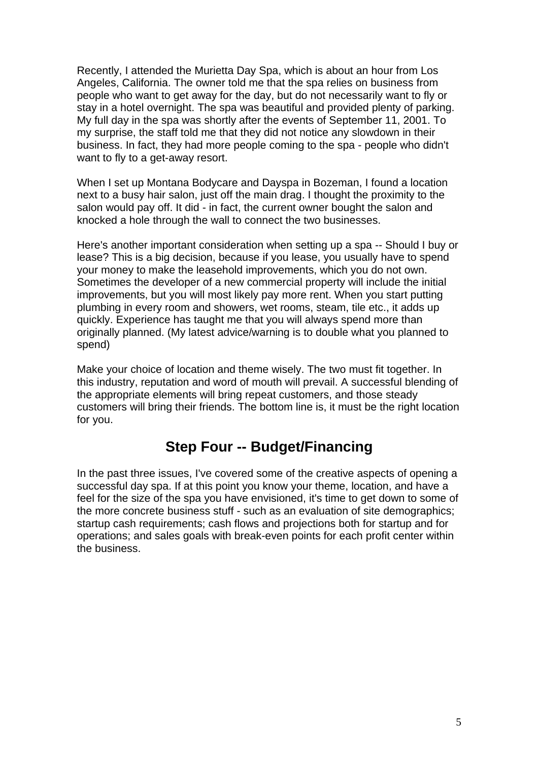Recently, I attended the Murietta Day Spa, which is about an hour from Los Angeles, California. The owner told me that the spa relies on business from people who want to get away for the day, but do not necessarily want to fly or stay in a hotel overnight. The spa was beautiful and provided plenty of parking. My full day in the spa was shortly after the events of September 11, 2001. To my surprise, the staff told me that they did not notice any slowdown in their business. In fact, they had more people coming to the spa - people who didn't want to fly to a get-away resort.

When I set up Montana Bodycare and Dayspa in Bozeman, I found a location next to a busy hair salon, just off the main drag. I thought the proximity to the salon would pay off. It did - in fact, the current owner bought the salon and knocked a hole through the wall to connect the two businesses.

Here's another important consideration when setting up a spa -- Should I buy or lease? This is a big decision, because if you lease, you usually have to spend your money to make the leasehold improvements, which you do not own. Sometimes the developer of a new commercial property will include the initial improvements, but you will most likely pay more rent. When you start putting plumbing in every room and showers, wet rooms, steam, tile etc., it adds up quickly. Experience has taught me that you will always spend more than originally planned. (My latest advice/warning is to double what you planned to spend)

Make your choice of location and theme wisely. The two must fit together. In this industry, reputation and word of mouth will prevail. A successful blending of the appropriate elements will bring repeat customers, and those steady customers will bring their friends. The bottom line is, it must be the right location for you.

#### **Step Four -- Budget/Financing**

In the past three issues, I've covered some of the creative aspects of opening a successful day spa. If at this point you know your theme, location, and have a feel for the size of the spa you have envisioned, it's time to get down to some of the more concrete business stuff - such as an evaluation of site demographics; startup cash requirements; cash flows and projections both for startup and for operations; and sales goals with break-even points for each profit center within the business.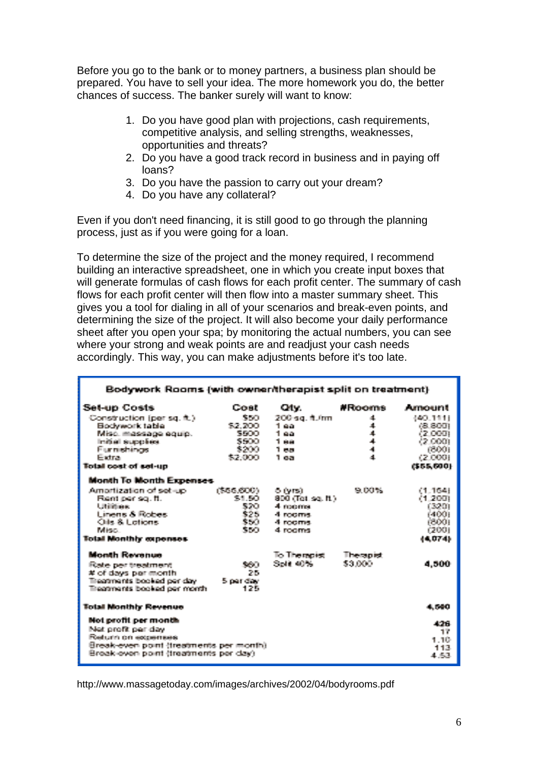Before you go to the bank or to money partners, a business plan should be prepared. You have to sell your idea. The more homework you do, the better chances of success. The banker surely will want to know:

- 1. Do you have good plan with projections, cash requirements, competitive analysis, and selling strengths, weaknesses, opportunities and threats?
- 2. Do you have a good track record in business and in paying off loans?
- 3. Do you have the passion to carry out your dream?
- 4. Do you have any collateral?

Even if you don't need financing, it is still good to go through the planning process, just as if you were going for a loan.

To determine the size of the project and the money required, I recommend building an interactive spreadsheet, one in which you create input boxes that will generate formulas of cash flows for each profit center. The summary of cash flows for each profit center will then flow into a master summary sheet. This gives you a tool for dialing in all of your scenarios and break-even points, and determining the size of the project. It will also become your daily performance sheet after you open your spa; by monitoring the actual numbers, you can see where your strong and weak points are and readjust your cash needs accordingly. This way, you can make adjustments before it's too late.

| Bodywork Rooms (with owner/therapist split on treatment) |                  |                    |                      |                    |  |  |  |  |  |
|----------------------------------------------------------|------------------|--------------------|----------------------|--------------------|--|--|--|--|--|
| Set-up Costs                                             | Cost             | Oliv.              | #Rooms               | Amount             |  |  |  |  |  |
| Construction (per sq. ft.)                               | 860              | 200 sq. ft.fm      | 颪                    | 440-1111           |  |  |  |  |  |
| Bodywork table                                           | \$2.200          | 1 aa               | 工                    | os son             |  |  |  |  |  |
| Misé, massage equip.                                     | SSOO             | 1 ខុង              | $\blacktriangleleft$ | i2 000             |  |  |  |  |  |
| Initial supplies.                                        | 5500             | 1 aa               | $\Delta$<br>Ä.       | 42.000L            |  |  |  |  |  |
| <b>Europehines</b><br>Eletra:                            | \$200<br>\$2,000 | 1 ea<br>วิทยา      | Ā.                   | 63000<br>r 2. GOOD |  |  |  |  |  |
| Total cost of set-up                                     |                  |                    |                      | 6555.6901          |  |  |  |  |  |
|                                                          |                  |                    |                      |                    |  |  |  |  |  |
| <b>Month To Month Expenses</b>                           |                  |                    |                      |                    |  |  |  |  |  |
| Amortization of set-up.                                  | (\$66,600)       | 6 (vrs)            | <b>PA DOMA</b>       | 1.1641             |  |  |  |  |  |
| Right parise, ft.                                        | 921 ACT          | 800 (Tel. set ft.) |                      | (1.200             |  |  |  |  |  |
| L. Britishman                                            | 520              | 4 rooms            |                      | (520)              |  |  |  |  |  |
| Lineare & Robert                                         | \$25             | 4 months           |                      | 6400L              |  |  |  |  |  |
| Chile, & Licetionist                                     | 意味合<br>550       | 4 reserve          |                      | 65000              |  |  |  |  |  |
| Pelican.                                                 |                  | 4. morne           |                      | 67001              |  |  |  |  |  |
| <b>Total Monthly expenses</b>                            |                  |                    |                      | 44.0741            |  |  |  |  |  |
| Month Revenue                                            |                  | To Thereoist       | Therapist            |                    |  |  |  |  |  |
| Rate partnertment                                        | 560              | Selk 40%           | \$3,000              | 4.500              |  |  |  |  |  |
| # of days per month                                      | 26               |                    |                      |                    |  |  |  |  |  |
| Treatments booked per day.                               | 5 per day        |                    |                      |                    |  |  |  |  |  |
| Treatments booked per month                              | インち              |                    |                      |                    |  |  |  |  |  |
| <b>Total Monthly Revenue</b>                             |                  |                    |                      | 4.540              |  |  |  |  |  |
| Not profit per month                                     |                  |                    |                      | 476                |  |  |  |  |  |
| Net profit per day.                                      |                  |                    |                      | 17                 |  |  |  |  |  |
| Return on exceptions                                     |                  |                    |                      | 1.10               |  |  |  |  |  |
| Break-even point (treatments per month)                  |                  |                    |                      | 443.               |  |  |  |  |  |
| Break-even point (treatments per day)                    |                  |                    |                      | 4. SS              |  |  |  |  |  |
|                                                          |                  |                    |                      |                    |  |  |  |  |  |

http://www.massagetoday.com/images/archives/2002/04/bodyrooms.pdf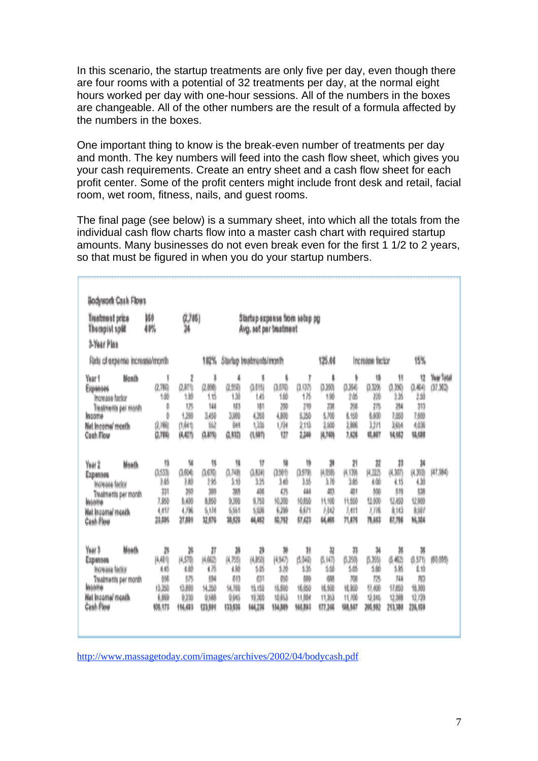In this scenario, the startup treatments are only five per day, even though there are four rooms with a potential of 32 treatments per day, at the normal eight hours worked per day with one-hour sessions. All of the numbers in the boxes are changeable. All of the other numbers are the result of a formula affected by the numbers in the boxes.

One important thing to know is the break-even number of treatments per day and month. The key numbers will feed into the cash flow sheet, which gives you your cash requirements. Create an entry sheet and a cash flow sheet for each profit center. Some of the profit centers might include front desk and retail, facial room, wet room, fitness, nails, and guest rooms.

The final page (see below) is a summary sheet, into which all the totals from the individual cash flow charts flow into a master cash chart with required startup amounts. Many businesses do not even break even for the first 1 1/2 to 2 years, so that must be figured in when you do your startup numbers.

| <b>Bodywork Cash Flows</b>                                                                                               |                                                        |                                                       |                                                      |                                                         |                                                                |                                                  |                                                      |                                                       |                                                 |                                                  |                                                     |                                                         |                      |
|--------------------------------------------------------------------------------------------------------------------------|--------------------------------------------------------|-------------------------------------------------------|------------------------------------------------------|---------------------------------------------------------|----------------------------------------------------------------|--------------------------------------------------|------------------------------------------------------|-------------------------------------------------------|-------------------------------------------------|--------------------------------------------------|-----------------------------------------------------|---------------------------------------------------------|----------------------|
| Treatment orice<br><b>Thompiel split</b>                                                                                 | Иė<br>相談                                               | (2,785)<br>Ä                                          |                                                      | Startup acquarus from sabup pg<br>Avo. and par beatment |                                                                |                                                  |                                                      |                                                       |                                                 |                                                  |                                                     |                                                         |                      |
| 3 Year Plan                                                                                                              |                                                        |                                                       |                                                      |                                                         |                                                                |                                                  |                                                      |                                                       |                                                 |                                                  |                                                     |                                                         |                      |
| Ratu cil espenso increase/month                                                                                          |                                                        |                                                       | 10%                                                  | Startup boatmants/month                                 |                                                                |                                                  |                                                      | 125.00                                                |                                                 | Increase factor                                  |                                                     | 15%                                                     |                      |
| Year 1<br>Month<br>Ехривия<br>Increase factor<br>Treatments per month<br><b>INCOTIV</b><br>Net income/month<br>Cosh Flow | ij<br>0.789<br>铺<br>Þ<br>Þ<br>创建<br>0.788              | ŧ<br>0.财动<br>1勝<br>125<br>1,398<br><b>GAIR</b><br>高昭符 | \$,<br>2.50<br>18<br>144<br>3,450<br>鰦<br>良財場        | d<br>0.950<br>1.35<br>103<br>3,900<br>ùн<br>0,883       | Ņ<br><b>GHS</b><br>18<br>HВ<br>4,350<br>126<br>(1,97)          | ţ.<br>0.015<br>锄<br>200<br>4,800<br>ÚМ<br>躗      | Ī<br>0.92<br>1N<br>219<br>6.150<br>的型<br>2,308       | ı.<br>0.293<br>188<br>28<br>6.700<br>140<br>脚鹬        | ħ<br>0.86<br>2.65<br>24<br>6.930<br>地<br>7,628  | 脯<br>0.328<br>蹦<br>凊<br>600<br>ilit<br>信約        | Ħ<br>0.00<br>2,35<br>淵<br>7,093<br>16M<br>風勢        | 質<br>0.44<br>246<br>31)<br>7,689<br>áрн<br>9,98         | Year Total<br>07.303 |
| Year 2<br>Mash<br>Exempel<br><b>Novasa factor</b><br>Treatments per month<br>Inserte<br>Net income/ month<br>Cash Pleas  | u<br>0.53%<br>1,65<br>33)<br>7,950<br>4,457<br>其解      | Ù,<br>0,000<br>助<br>38<br>6,408<br>4,798<br>対前        | 犋<br>065<br>域<br>300<br>8,850<br>6181<br>昆卵          | Ÿ.<br>0.248<br>3.48<br>38<br>9,500<br>684<br>跳開         | 11<br>0.030<br>18<br>400<br>9.750<br>1,026<br>体膜               | 鹱<br>(1995)<br>3.05<br>ØΚ,<br>10.000<br>ÚЖ<br>菜類 | 忤<br>0.9%<br>16<br>466<br>10.850<br>6881<br>红磁       | 蓼<br>4.098<br>18<br>аņ<br>代词<br>ŃЮ<br>纵视              | \$Ì<br>体钢<br>38<br>顱<br>11,550<br>ÚH.<br>7UN    | 芨<br>8.325<br>4.00<br>550<br>性脑<br>2.7pl<br>推醒   | ĵį,<br>AM<br>化铁<br><b>KH</b><br>12,450<br>前缀<br>防刑  | 34<br>pugan<br>436<br>KB)<br>12,936<br><b>SMP</b><br>風潮 | (41,356)             |
| Yuar 3<br>Maadk<br>Ехритины<br>Increase factor<br>Treatments per month<br>Inserte<br>Net income/month<br>Cash Plow       | ð<br>纵横角<br>小船<br>槻<br>13,358<br><b>List</b><br>98.173 | 絮<br>网络脂<br>铀<br>R3<br>0.000<br>咖啡<br>19,400          | n<br>网络<br>χü<br>654<br>9.30<br>创建<br><b>123,904</b> | 궳<br>8,759<br>4.MA<br>6B)<br>NJ HO<br>9,946<br>123,930  | ð<br><b>NAME</b><br>6,66<br>635<br>19,158<br>10,000<br>144,238 | ×<br>8965<br>3.16<br>69<br>弘统<br>填料<br>15(38)    | H<br>6,040<br>铴<br>修改<br>95,050<br>11,004<br>106,883 | 翟<br>6,163<br>šШ<br>62.<br>16,900<br>11,353<br>97.349 | 鞹<br>620<br>šä<br>糊<br>16,950<br>1000<br>98,547 | 誀<br>6,393<br>鏰<br>78<br>17,400<br>吃鍋<br>201,002 | 寓<br>6,60<br>5,65<br>748<br>17,850<br>切解<br>213,389 | 鄬<br>(\$576)<br>bб<br>m<br>10,300<br>切除<br>初期時          | 60.0%                |

<http://www.massagetoday.com/images/archives/2002/04/bodycash.pdf>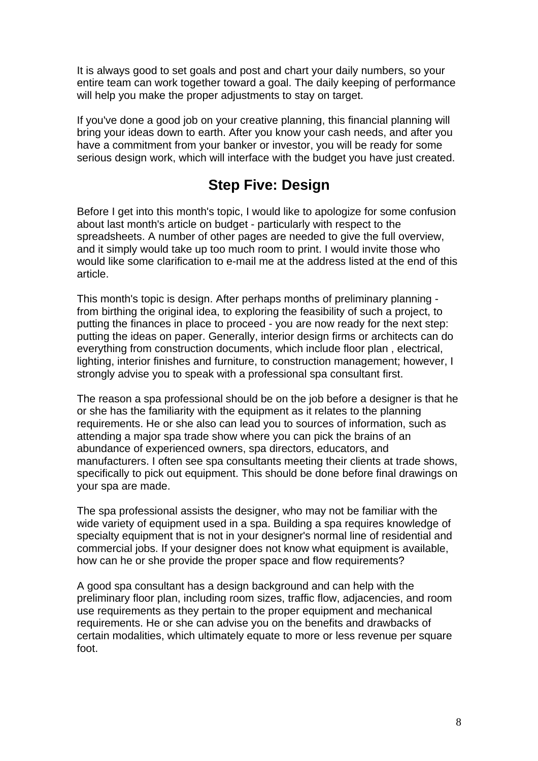It is always good to set goals and post and chart your daily numbers, so your entire team can work together toward a goal. The daily keeping of performance will help you make the proper adjustments to stay on target.

If you've done a good job on your creative planning, this financial planning will bring your ideas down to earth. After you know your cash needs, and after you have a commitment from your banker or investor, you will be ready for some serious design work, which will interface with the budget you have just created.

# **Step Five: Design**

Before I get into this month's topic, I would like to apologize for some confusion about last month's article on budget - particularly with respect to the spreadsheets. A number of other pages are needed to give the full overview, and it simply would take up too much room to print. I would invite those who would like some clarification to e-mail me at the address listed at the end of this article.

This month's topic is design. After perhaps months of preliminary planning from birthing the original idea, to exploring the feasibility of such a project, to putting the finances in place to proceed - you are now ready for the next step: putting the ideas on paper. Generally, interior design firms or architects can do everything from construction documents, which include floor plan , electrical, lighting, interior finishes and furniture, to construction management; however, I strongly advise you to speak with a professional spa consultant first.

The reason a spa professional should be on the job before a designer is that he or she has the familiarity with the equipment as it relates to the planning requirements. He or she also can lead you to sources of information, such as attending a major spa trade show where you can pick the brains of an abundance of experienced owners, spa directors, educators, and manufacturers. I often see spa consultants meeting their clients at trade shows, specifically to pick out equipment. This should be done before final drawings on your spa are made.

The spa professional assists the designer, who may not be familiar with the wide variety of equipment used in a spa. Building a spa requires knowledge of specialty equipment that is not in your designer's normal line of residential and commercial jobs. If your designer does not know what equipment is available, how can he or she provide the proper space and flow requirements?

A good spa consultant has a design background and can help with the preliminary floor plan, including room sizes, traffic flow, adjacencies, and room use requirements as they pertain to the proper equipment and mechanical requirements. He or she can advise you on the benefits and drawbacks of certain modalities, which ultimately equate to more or less revenue per square foot.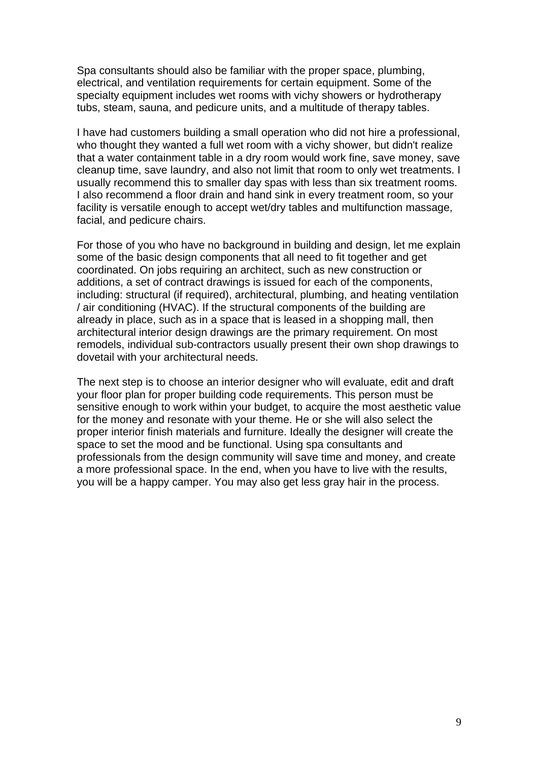Spa consultants should also be familiar with the proper space, plumbing, electrical, and ventilation requirements for certain equipment. Some of the specialty equipment includes wet rooms with vichy showers or hydrotherapy tubs, steam, sauna, and pedicure units, and a multitude of therapy tables.

I have had customers building a small operation who did not hire a professional, who thought they wanted a full wet room with a vichy shower, but didn't realize that a water containment table in a dry room would work fine, save money, save cleanup time, save laundry, and also not limit that room to only wet treatments. I usually recommend this to smaller day spas with less than six treatment rooms. I also recommend a floor drain and hand sink in every treatment room, so your facility is versatile enough to accept wet/dry tables and multifunction massage, facial, and pedicure chairs.

For those of you who have no background in building and design, let me explain some of the basic design components that all need to fit together and get coordinated. On jobs requiring an architect, such as new construction or additions, a set of contract drawings is issued for each of the components, including: structural (if required), architectural, plumbing, and heating ventilation / air conditioning (HVAC). If the structural components of the building are already in place, such as in a space that is leased in a shopping mall, then architectural interior design drawings are the primary requirement. On most remodels, individual sub-contractors usually present their own shop drawings to dovetail with your architectural needs.

The next step is to choose an interior designer who will evaluate, edit and draft your floor plan for proper building code requirements. This person must be sensitive enough to work within your budget, to acquire the most aesthetic value for the money and resonate with your theme. He or she will also select the proper interior finish materials and furniture. Ideally the designer will create the space to set the mood and be functional. Using spa consultants and professionals from the design community will save time and money, and create a more professional space. In the end, when you have to live with the results, you will be a happy camper. You may also get less gray hair in the process.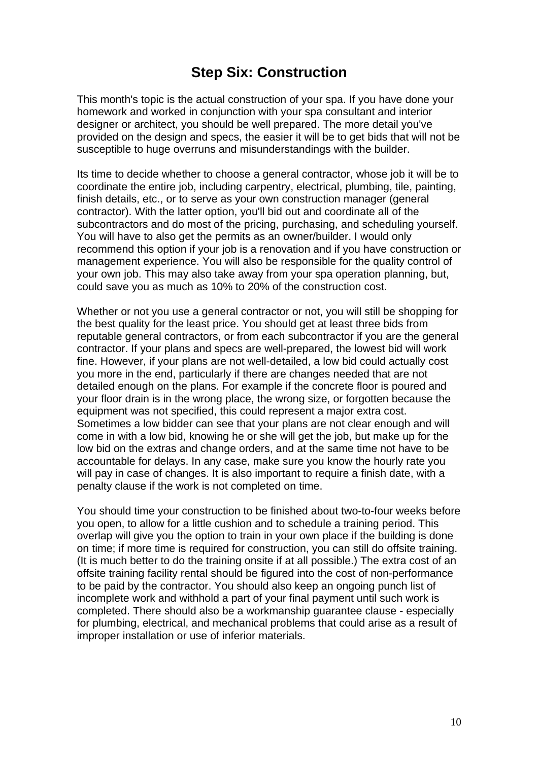### **Step Six: Construction**

This month's topic is the actual construction of your spa. If you have done your homework and worked in conjunction with your spa consultant and interior designer or architect, you should be well prepared. The more detail you've provided on the design and specs, the easier it will be to get bids that will not be susceptible to huge overruns and misunderstandings with the builder.

Its time to decide whether to choose a general contractor, whose job it will be to coordinate the entire job, including carpentry, electrical, plumbing, tile, painting, finish details, etc., or to serve as your own construction manager (general contractor). With the latter option, you'll bid out and coordinate all of the subcontractors and do most of the pricing, purchasing, and scheduling yourself. You will have to also get the permits as an owner/builder. I would only recommend this option if your job is a renovation and if you have construction or management experience. You will also be responsible for the quality control of your own job. This may also take away from your spa operation planning, but, could save you as much as 10% to 20% of the construction cost.

Whether or not you use a general contractor or not, you will still be shopping for the best quality for the least price. You should get at least three bids from reputable general contractors, or from each subcontractor if you are the general contractor. If your plans and specs are well-prepared, the lowest bid will work fine. However, if your plans are not well-detailed, a low bid could actually cost you more in the end, particularly if there are changes needed that are not detailed enough on the plans. For example if the concrete floor is poured and your floor drain is in the wrong place, the wrong size, or forgotten because the equipment was not specified, this could represent a major extra cost. Sometimes a low bidder can see that your plans are not clear enough and will come in with a low bid, knowing he or she will get the job, but make up for the low bid on the extras and change orders, and at the same time not have to be accountable for delays. In any case, make sure you know the hourly rate you will pay in case of changes. It is also important to require a finish date, with a penalty clause if the work is not completed on time.

You should time your construction to be finished about two-to-four weeks before you open, to allow for a little cushion and to schedule a training period. This overlap will give you the option to train in your own place if the building is done on time; if more time is required for construction, you can still do offsite training. (It is much better to do the training onsite if at all possible.) The extra cost of an offsite training facility rental should be figured into the cost of non-performance to be paid by the contractor. You should also keep an ongoing punch list of incomplete work and withhold a part of your final payment until such work is completed. There should also be a workmanship guarantee clause - especially for plumbing, electrical, and mechanical problems that could arise as a result of improper installation or use of inferior materials.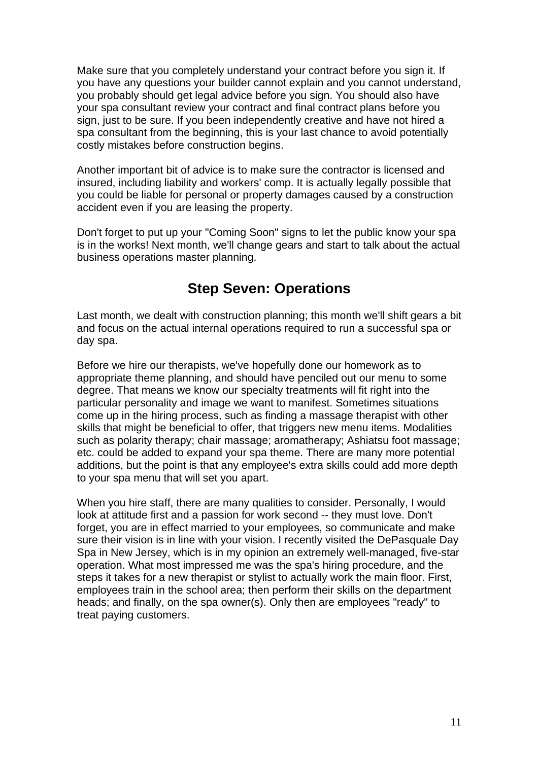Make sure that you completely understand your contract before you sign it. If you have any questions your builder cannot explain and you cannot understand, you probably should get legal advice before you sign. You should also have your spa consultant review your contract and final contract plans before you sign, just to be sure. If you been independently creative and have not hired a spa consultant from the beginning, this is your last chance to avoid potentially costly mistakes before construction begins.

Another important bit of advice is to make sure the contractor is licensed and insured, including liability and workers' comp. It is actually legally possible that you could be liable for personal or property damages caused by a construction accident even if you are leasing the property.

Don't forget to put up your "Coming Soon" signs to let the public know your spa is in the works! Next month, we'll change gears and start to talk about the actual business operations master planning.

#### **Step Seven: Operations**

Last month, we dealt with construction planning; this month we'll shift gears a bit and focus on the actual internal operations required to run a successful spa or day spa.

Before we hire our therapists, we've hopefully done our homework as to appropriate theme planning, and should have penciled out our menu to some degree. That means we know our specialty treatments will fit right into the particular personality and image we want to manifest. Sometimes situations come up in the hiring process, such as finding a massage therapist with other skills that might be beneficial to offer, that triggers new menu items. Modalities such as polarity therapy; chair massage; aromatherapy; Ashiatsu foot massage; etc. could be added to expand your spa theme. There are many more potential additions, but the point is that any employee's extra skills could add more depth to your spa menu that will set you apart.

When you hire staff, there are many qualities to consider. Personally, I would look at attitude first and a passion for work second -- they must love. Don't forget, you are in effect married to your employees, so communicate and make sure their vision is in line with your vision. I recently visited the DePasquale Day Spa in New Jersey, which is in my opinion an extremely well-managed, five-star operation. What most impressed me was the spa's hiring procedure, and the steps it takes for a new therapist or stylist to actually work the main floor. First, employees train in the school area; then perform their skills on the department heads; and finally, on the spa owner(s). Only then are employees "ready" to treat paying customers.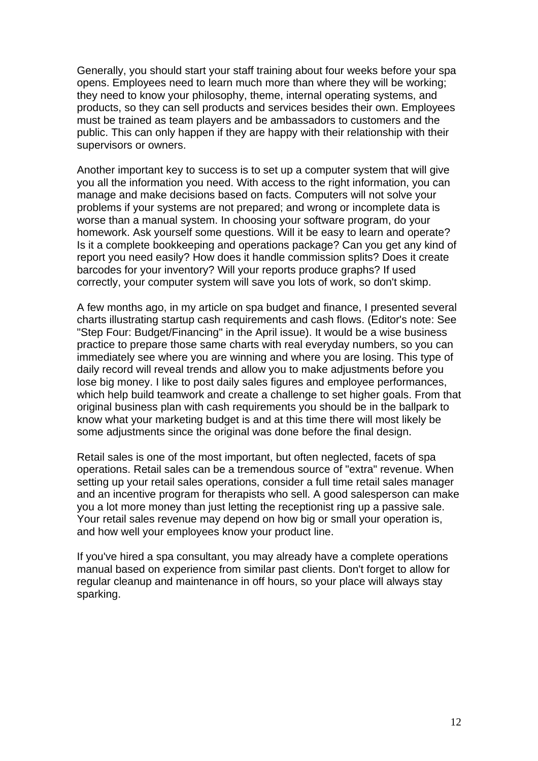Generally, you should start your staff training about four weeks before your spa opens. Employees need to learn much more than where they will be working; they need to know your philosophy, theme, internal operating systems, and products, so they can sell products and services besides their own. Employees must be trained as team players and be ambassadors to customers and the public. This can only happen if they are happy with their relationship with their supervisors or owners.

Another important key to success is to set up a computer system that will give you all the information you need. With access to the right information, you can manage and make decisions based on facts. Computers will not solve your problems if your systems are not prepared; and wrong or incomplete data is worse than a manual system. In choosing your software program, do your homework. Ask yourself some questions. Will it be easy to learn and operate? Is it a complete bookkeeping and operations package? Can you get any kind of report you need easily? How does it handle commission splits? Does it create barcodes for your inventory? Will your reports produce graphs? If used correctly, your computer system will save you lots of work, so don't skimp.

A few months ago, in my article on spa budget and finance, I presented several charts illustrating startup cash requirements and cash flows. (Editor's note: See "Step Four: Budget/Financing" in the April issue). It would be a wise business practice to prepare those same charts with real everyday numbers, so you can immediately see where you are winning and where you are losing. This type of daily record will reveal trends and allow you to make adjustments before you lose big money. I like to post daily sales figures and employee performances, which help build teamwork and create a challenge to set higher goals. From that original business plan with cash requirements you should be in the ballpark to know what your marketing budget is and at this time there will most likely be some adjustments since the original was done before the final design.

Retail sales is one of the most important, but often neglected, facets of spa operations. Retail sales can be a tremendous source of "extra" revenue. When setting up your retail sales operations, consider a full time retail sales manager and an incentive program for therapists who sell. A good salesperson can make you a lot more money than just letting the receptionist ring up a passive sale. Your retail sales revenue may depend on how big or small your operation is, and how well your employees know your product line.

If you've hired a spa consultant, you may already have a complete operations manual based on experience from similar past clients. Don't forget to allow for regular cleanup and maintenance in off hours, so your place will always stay sparking.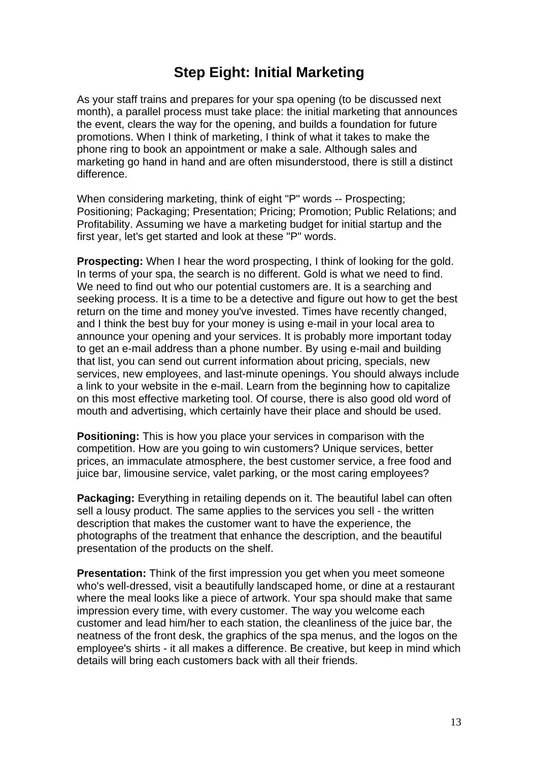### **Step Eight: Initial Marketing**

As your staff trains and prepares for your spa opening (to be discussed next month), a parallel process must take place: the initial marketing that announces the event, clears the way for the opening, and builds a foundation for future promotions. When I think of marketing, I think of what it takes to make the phone ring to book an appointment or make a sale. Although sales and marketing go hand in hand and are often misunderstood, there is still a distinct difference.

When considering marketing, think of eight "P" words -- Prospecting; Positioning; Packaging; Presentation; Pricing; Promotion; Public Relations; and Profitability. Assuming we have a marketing budget for initial startup and the first year, let's get started and look at these "P" words.

**Prospecting:** When I hear the word prospecting, I think of looking for the gold. In terms of your spa, the search is no different. Gold is what we need to find. We need to find out who our potential customers are. It is a searching and seeking process. It is a time to be a detective and figure out how to get the best return on the time and money you've invested. Times have recently changed, and I think the best buy for your money is using e-mail in your local area to announce your opening and your services. It is probably more important today to get an e-mail address than a phone number. By using e-mail and building that list, you can send out current information about pricing, specials, new services, new employees, and last-minute openings. You should always include a link to your website in the e-mail. Learn from the beginning how to capitalize on this most effective marketing tool. Of course, there is also good old word of mouth and advertising, which certainly have their place and should be used.

**Positioning:** This is how you place your services in comparison with the competition. How are you going to win customers? Unique services, better prices, an immaculate atmosphere, the best customer service, a free food and juice bar, limousine service, valet parking, or the most caring employees?

**Packaging:** Everything in retailing depends on it. The beautiful label can often sell a lousy product. The same applies to the services you sell - the written description that makes the customer want to have the experience, the photographs of the treatment that enhance the description, and the beautiful presentation of the products on the shelf.

**Presentation:** Think of the first impression you get when you meet someone who's well-dressed, visit a beautifully landscaped home, or dine at a restaurant where the meal looks like a piece of artwork. Your spa should make that same impression every time, with every customer. The way you welcome each customer and lead him/her to each station, the cleanliness of the juice bar, the neatness of the front desk, the graphics of the spa menus, and the logos on the employee's shirts - it all makes a difference. Be creative, but keep in mind which details will bring each customers back with all their friends.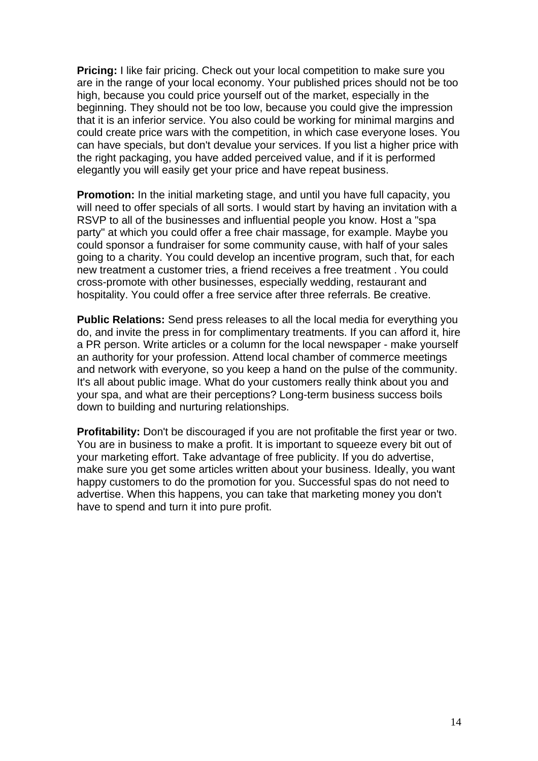**Pricing:** I like fair pricing. Check out your local competition to make sure you are in the range of your local economy. Your published prices should not be too high, because you could price yourself out of the market, especially in the beginning. They should not be too low, because you could give the impression that it is an inferior service. You also could be working for minimal margins and could create price wars with the competition, in which case everyone loses. You can have specials, but don't devalue your services. If you list a higher price with the right packaging, you have added perceived value, and if it is performed elegantly you will easily get your price and have repeat business.

**Promotion:** In the initial marketing stage, and until you have full capacity, you will need to offer specials of all sorts. I would start by having an invitation with a RSVP to all of the businesses and influential people you know. Host a "spa party" at which you could offer a free chair massage, for example. Maybe you could sponsor a fundraiser for some community cause, with half of your sales going to a charity. You could develop an incentive program, such that, for each new treatment a customer tries, a friend receives a free treatment . You could cross-promote with other businesses, especially wedding, restaurant and hospitality. You could offer a free service after three referrals. Be creative.

**Public Relations:** Send press releases to all the local media for everything you do, and invite the press in for complimentary treatments. If you can afford it, hire a PR person. Write articles or a column for the local newspaper - make yourself an authority for your profession. Attend local chamber of commerce meetings and network with everyone, so you keep a hand on the pulse of the community. It's all about public image. What do your customers really think about you and your spa, and what are their perceptions? Long-term business success boils down to building and nurturing relationships.

**Profitability:** Don't be discouraged if you are not profitable the first year or two. You are in business to make a profit. It is important to squeeze every bit out of your marketing effort. Take advantage of free publicity. If you do advertise, make sure you get some articles written about your business. Ideally, you want happy customers to do the promotion for you. Successful spas do not need to advertise. When this happens, you can take that marketing money you don't have to spend and turn it into pure profit.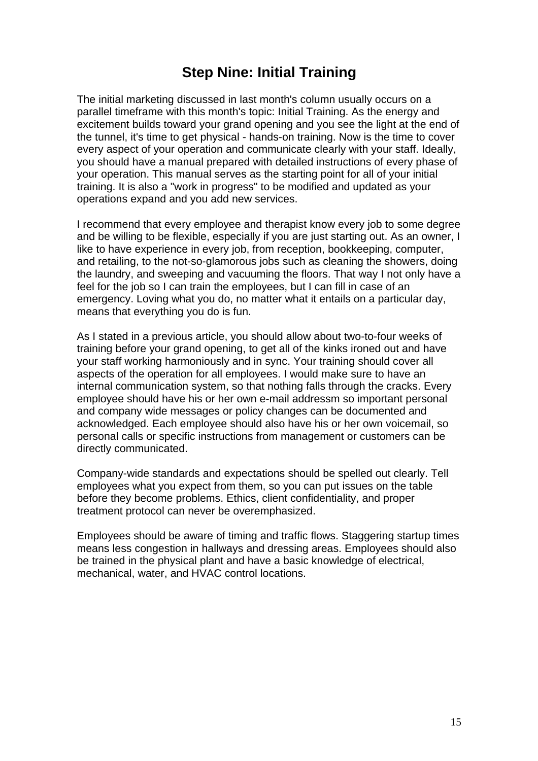### **Step Nine: Initial Training**

The initial marketing discussed in last month's column usually occurs on a parallel timeframe with this month's topic: Initial Training. As the energy and excitement builds toward your grand opening and you see the light at the end of the tunnel, it's time to get physical - hands-on training. Now is the time to cover every aspect of your operation and communicate clearly with your staff. Ideally, you should have a manual prepared with detailed instructions of every phase of your operation. This manual serves as the starting point for all of your initial training. It is also a "work in progress" to be modified and updated as your operations expand and you add new services.

I recommend that every employee and therapist know every job to some degree and be willing to be flexible, especially if you are just starting out. As an owner, I like to have experience in every job, from reception, bookkeeping, computer, and retailing, to the not-so-glamorous jobs such as cleaning the showers, doing the laundry, and sweeping and vacuuming the floors. That way I not only have a feel for the job so I can train the employees, but I can fill in case of an emergency. Loving what you do, no matter what it entails on a particular day, means that everything you do is fun.

As I stated in a previous article, you should allow about two-to-four weeks of training before your grand opening, to get all of the kinks ironed out and have your staff working harmoniously and in sync. Your training should cover all aspects of the operation for all employees. I would make sure to have an internal communication system, so that nothing falls through the cracks. Every employee should have his or her own e-mail addressm so important personal and company wide messages or policy changes can be documented and acknowledged. Each employee should also have his or her own voicemail, so personal calls or specific instructions from management or customers can be directly communicated.

Company-wide standards and expectations should be spelled out clearly. Tell employees what you expect from them, so you can put issues on the table before they become problems. Ethics, client confidentiality, and proper treatment protocol can never be overemphasized.

Employees should be aware of timing and traffic flows. Staggering startup times means less congestion in hallways and dressing areas. Employees should also be trained in the physical plant and have a basic knowledge of electrical, mechanical, water, and HVAC control locations.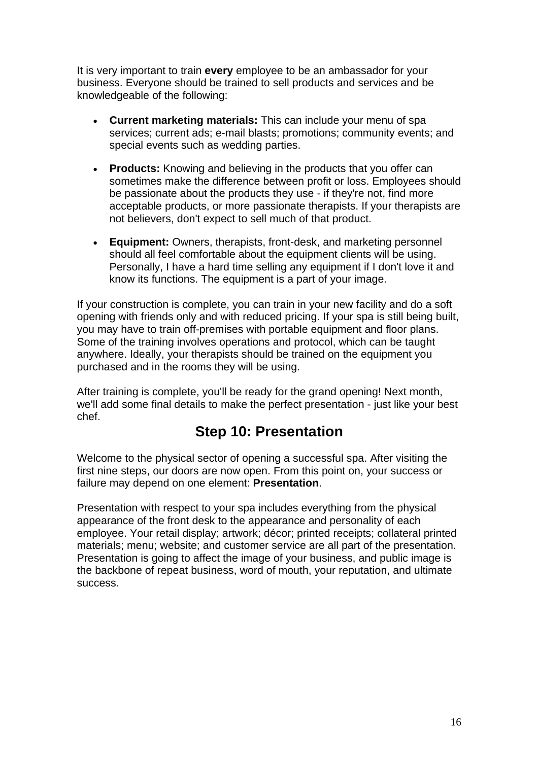It is very important to train **every** employee to be an ambassador for your business. Everyone should be trained to sell products and services and be knowledgeable of the following:

- **Current marketing materials:** This can include your menu of spa services; current ads; e-mail blasts; promotions; community events; and special events such as wedding parties.
- **Products:** Knowing and believing in the products that you offer can sometimes make the difference between profit or loss. Employees should be passionate about the products they use - if they're not, find more acceptable products, or more passionate therapists. If your therapists are not believers, don't expect to sell much of that product.
- **Equipment:** Owners, therapists, front-desk, and marketing personnel should all feel comfortable about the equipment clients will be using. Personally, I have a hard time selling any equipment if I don't love it and know its functions. The equipment is a part of your image.

If your construction is complete, you can train in your new facility and do a soft opening with friends only and with reduced pricing. If your spa is still being built, you may have to train off-premises with portable equipment and floor plans. Some of the training involves operations and protocol, which can be taught anywhere. Ideally, your therapists should be trained on the equipment you purchased and in the rooms they will be using.

After training is complete, you'll be ready for the grand opening! Next month, we'll add some final details to make the perfect presentation - just like your best chef.

#### **Step 10: Presentation**

Welcome to the physical sector of opening a successful spa. After visiting the first nine steps, our doors are now open. From this point on, your success or failure may depend on one element: **Presentation**.

Presentation with respect to your spa includes everything from the physical appearance of the front desk to the appearance and personality of each employee. Your retail display; artwork; décor; printed receipts; collateral printed materials; menu; website; and customer service are all part of the presentation. Presentation is going to affect the image of your business, and public image is the backbone of repeat business, word of mouth, your reputation, and ultimate success.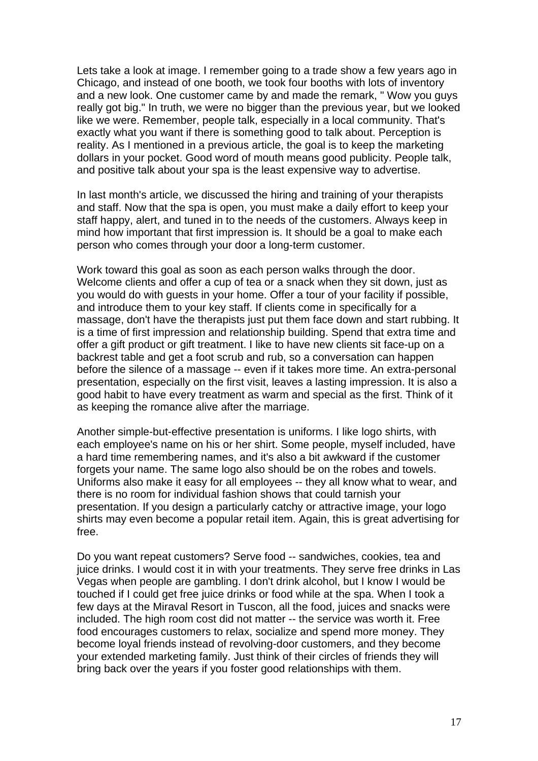Lets take a look at image. I remember going to a trade show a few years ago in Chicago, and instead of one booth, we took four booths with lots of inventory and a new look. One customer came by and made the remark, " Wow you guys really got big." In truth, we were no bigger than the previous year, but we looked like we were. Remember, people talk, especially in a local community. That's exactly what you want if there is something good to talk about. Perception is reality. As I mentioned in a previous article, the goal is to keep the marketing dollars in your pocket. Good word of mouth means good publicity. People talk, and positive talk about your spa is the least expensive way to advertise.

In last month's article, we discussed the hiring and training of your therapists and staff. Now that the spa is open, you must make a daily effort to keep your staff happy, alert, and tuned in to the needs of the customers. Always keep in mind how important that first impression is. It should be a goal to make each person who comes through your door a long-term customer.

Work toward this goal as soon as each person walks through the door. Welcome clients and offer a cup of tea or a snack when they sit down, just as you would do with guests in your home. Offer a tour of your facility if possible, and introduce them to your key staff. If clients come in specifically for a massage, don't have the therapists just put them face down and start rubbing. It is a time of first impression and relationship building. Spend that extra time and offer a gift product or gift treatment. I like to have new clients sit face-up on a backrest table and get a foot scrub and rub, so a conversation can happen before the silence of a massage -- even if it takes more time. An extra-personal presentation, especially on the first visit, leaves a lasting impression. It is also a good habit to have every treatment as warm and special as the first. Think of it as keeping the romance alive after the marriage.

Another simple-but-effective presentation is uniforms. I like logo shirts, with each employee's name on his or her shirt. Some people, myself included, have a hard time remembering names, and it's also a bit awkward if the customer forgets your name. The same logo also should be on the robes and towels. Uniforms also make it easy for all employees -- they all know what to wear, and there is no room for individual fashion shows that could tarnish your presentation. If you design a particularly catchy or attractive image, your logo shirts may even become a popular retail item. Again, this is great advertising for free.

Do you want repeat customers? Serve food -- sandwiches, cookies, tea and juice drinks. I would cost it in with your treatments. They serve free drinks in Las Vegas when people are gambling. I don't drink alcohol, but I know I would be touched if I could get free juice drinks or food while at the spa. When I took a few days at the Miraval Resort in Tuscon, all the food, juices and snacks were included. The high room cost did not matter -- the service was worth it. Free food encourages customers to relax, socialize and spend more money. They become loyal friends instead of revolving-door customers, and they become your extended marketing family. Just think of their circles of friends they will bring back over the years if you foster good relationships with them.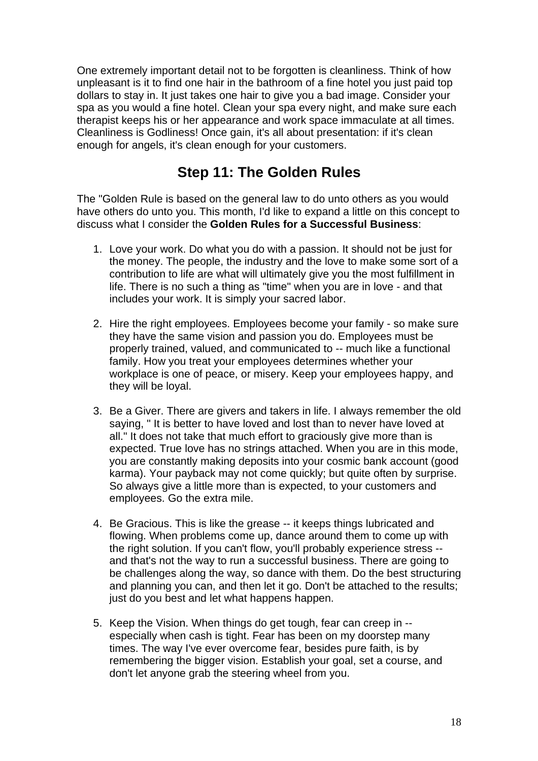One extremely important detail not to be forgotten is cleanliness. Think of how unpleasant is it to find one hair in the bathroom of a fine hotel you just paid top dollars to stay in. It just takes one hair to give you a bad image. Consider your spa as you would a fine hotel. Clean your spa every night, and make sure each therapist keeps his or her appearance and work space immaculate at all times. Cleanliness is Godliness! Once gain, it's all about presentation: if it's clean enough for angels, it's clean enough for your customers.

#### **Step 11: The Golden Rules**

The "Golden Rule is based on the general law to do unto others as you would have others do unto you. This month, I'd like to expand a little on this concept to discuss what I consider the **Golden Rules for a Successful Business**:

- 1. Love your work. Do what you do with a passion. It should not be just for the money. The people, the industry and the love to make some sort of a contribution to life are what will ultimately give you the most fulfillment in life. There is no such a thing as "time" when you are in love - and that includes your work. It is simply your sacred labor.
- 2. Hire the right employees. Employees become your family so make sure they have the same vision and passion you do. Employees must be properly trained, valued, and communicated to -- much like a functional family. How you treat your employees determines whether your workplace is one of peace, or misery. Keep your employees happy, and they will be loyal.
- 3. Be a Giver. There are givers and takers in life. I always remember the old saying, " It is better to have loved and lost than to never have loved at all." It does not take that much effort to graciously give more than is expected. True love has no strings attached. When you are in this mode, you are constantly making deposits into your cosmic bank account (good karma). Your payback may not come quickly; but quite often by surprise. So always give a little more than is expected, to your customers and employees. Go the extra mile.
- 4. Be Gracious. This is like the grease -- it keeps things lubricated and flowing. When problems come up, dance around them to come up with the right solution. If you can't flow, you'll probably experience stress - and that's not the way to run a successful business. There are going to be challenges along the way, so dance with them. Do the best structuring and planning you can, and then let it go. Don't be attached to the results; just do you best and let what happens happen.
- 5. Keep the Vision. When things do get tough, fear can creep in especially when cash is tight. Fear has been on my doorstep many times. The way I've ever overcome fear, besides pure faith, is by remembering the bigger vision. Establish your goal, set a course, and don't let anyone grab the steering wheel from you.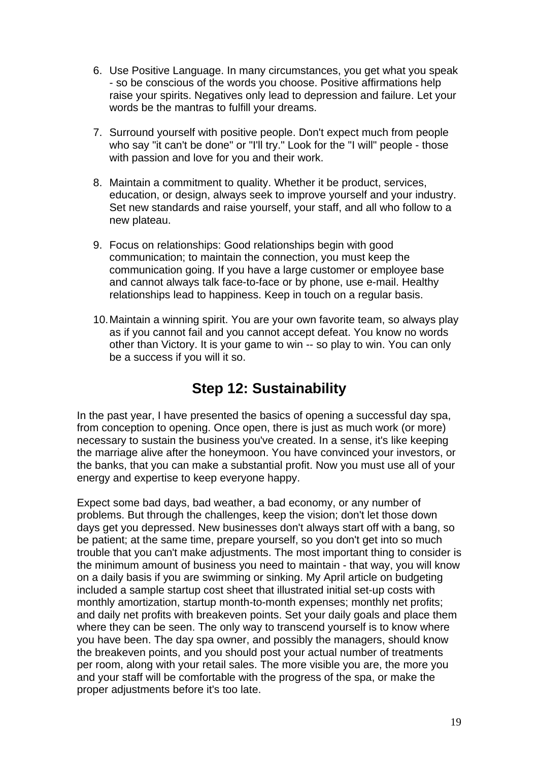- 6. Use Positive Language. In many circumstances, you get what you speak - so be conscious of the words you choose. Positive affirmations help raise your spirits. Negatives only lead to depression and failure. Let your words be the mantras to fulfill your dreams.
- 7. Surround yourself with positive people. Don't expect much from people who say "it can't be done" or "I'll try." Look for the "I will" people - those with passion and love for you and their work.
- 8. Maintain a commitment to quality. Whether it be product, services, education, or design, always seek to improve yourself and your industry. Set new standards and raise yourself, your staff, and all who follow to a new plateau.
- 9. Focus on relationships: Good relationships begin with good communication; to maintain the connection, you must keep the communication going. If you have a large customer or employee base and cannot always talk face-to-face or by phone, use e-mail. Healthy relationships lead to happiness. Keep in touch on a regular basis.
- 10. Maintain a winning spirit. You are your own favorite team, so always play as if you cannot fail and you cannot accept defeat. You know no words other than Victory. It is your game to win -- so play to win. You can only be a success if you will it so.

# **Step 12: Sustainability**

In the past year, I have presented the basics of opening a successful day spa, from conception to opening. Once open, there is just as much work (or more) necessary to sustain the business you've created. In a sense, it's like keeping the marriage alive after the honeymoon. You have convinced your investors, or the banks, that you can make a substantial profit. Now you must use all of your energy and expertise to keep everyone happy.

Expect some bad days, bad weather, a bad economy, or any number of problems. But through the challenges, keep the vision; don't let those down days get you depressed. New businesses don't always start off with a bang, so be patient; at the same time, prepare yourself, so you don't get into so much trouble that you can't make adjustments. The most important thing to consider is the minimum amount of business you need to maintain - that way, you will know on a daily basis if you are swimming or sinking. My April article on budgeting included a sample startup cost sheet that illustrated initial set-up costs with monthly amortization, startup month-to-month expenses; monthly net profits; and daily net profits with breakeven points. Set your daily goals and place them where they can be seen. The only way to transcend yourself is to know where you have been. The day spa owner, and possibly the managers, should know the breakeven points, and you should post your actual number of treatments per room, along with your retail sales. The more visible you are, the more you and your staff will be comfortable with the progress of the spa, or make the proper adjustments before it's too late.